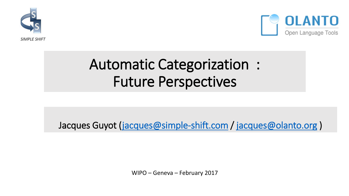



# Automatic Categorization : Future Perspectives

Jacques Guyot ([jacques@simple-shift.com](mailto:jacques@simple-shift.com) / [jacques@olanto.org](mailto:jacques@olanto.org) )

WIPO – Geneva – February 2017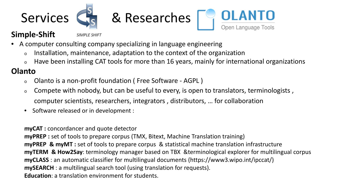





#### **Simple-Shift**

**SIMPLE SHIFT** 

- A computer consulting company specializing in language engineering
	- <sup>o</sup> Installation, maintenance, adaptation to the context of the organization
	- <sup>o</sup> Have been installing CAT tools for more than 16 years, mainly for international organizations

#### **Olanto**

- <sup>o</sup> Olanto is a non-profit foundation ( Free Software AGPL )
- $\circ$  Compete with nobody, but can be useful to every, is open to translators, terminologists, computer scientists, researchers, integrators , distributors, … for collaboration
- Software released or in development :

**myCAT :** concordancer and quote detector

**myPREP :** set of tools to prepare corpus (TMX, Bitext, Machine Translation training) **myPREP & myMT :** set of tools to prepare corpus & statistical machine translation infrastructure **myTERM & How2Say**: terminology manager based on TBX &terminological explorer for multilingual corpus **myCLASS** : an automatic classifier for multilingual documents (https://www3.wipo.int/ipccat/) **mySEARCH** : a multilingual search tool (using translation for requests). **Education**: a translation environment for students.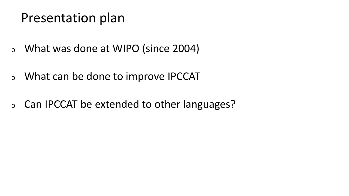### Presentation plan

- <sup>o</sup> What was done at WIPO (since 2004)
- <sup>o</sup> What can be done to improve IPCCAT
- <sup>o</sup> Can IPCCAT be extended to other languages?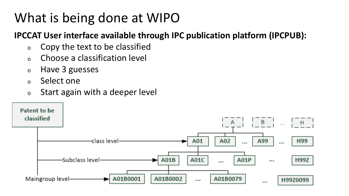# What is being done at WIPO

#### **IPCCAT User interface available through IPC publication platform (IPCPUB):**

- $\circ$  Copy the text to be classified
- <sup>o</sup> Choose a classification level
- <sup>o</sup> Have 3 guesses
- <sup>o</sup> Select one
- <sup>o</sup> Start again with a deeper level

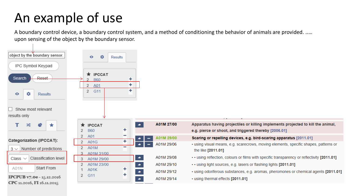## An example of use

A boundary control device, a boundary control system, and a method of conditioning the behavior of animals are provided. ..… upon sensing of the object by the boundary sensor.

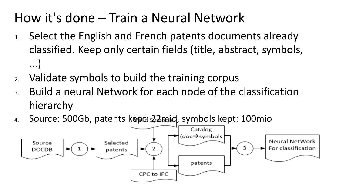## How it's done – Train a Neural Network

- 1. Select the English and French patents documents already classified. Keep only certain fields (title, abstract, symbols, ...)
- 2. Validate symbols to build the training corpus
- 3. Build a neural Network for each node of the classification hierarchy
- 4. Source: 500Gb, patents kept 22mig, symbols kept: 100mio

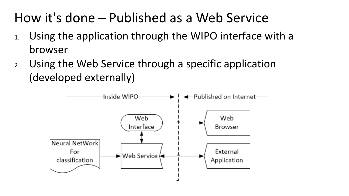# How it's done – Published as a Web Service

- 1. Using the application through the WIPO interface with a browser
- 2. Using the Web Service through a specific application (developed externally)

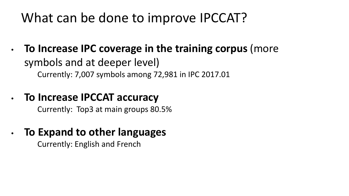### What can be done to improve IPCCAT?

• **To Increase IPC coverage in the training corpus** (more symbols and at deeper level) Currently: 7,007 symbols among 72,981 in IPC 2017.01

### • **To Increase IPCCAT accuracy**

Currently: Top3 at main groups 80.5%

### • **To Expand to other languages**

Currently: English and French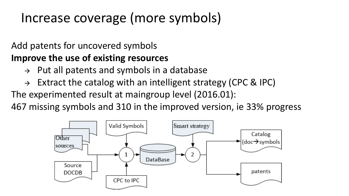### Increase coverage (more symbols)

#### Add patents for uncovered symbols **Improve the use of existing resources**

- $\rightarrow$  Put all patents and symbols in a database
- $\rightarrow$  Extract the catalog with an intelligent strategy (CPC & IPC)

The experimented result at maingroup level (2016.01):

467 missing symbols and 310 in the improved version, ie 33% progress

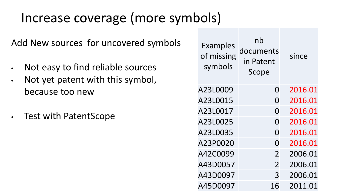## Increase coverage (more symbols)

Add New sources for uncovered symbols

- Not easy to find reliable sources
- Not yet patent with this symbol, because too new
- Test with PatentScope

| <b>Examples</b><br>of missing<br>symbols | nb<br>documents<br>in Patent<br>Scope | since   |
|------------------------------------------|---------------------------------------|---------|
| A23L0009                                 | O                                     | 2016.01 |
| A23L0015                                 | O                                     | 2016.01 |
| A23L0017                                 | O                                     | 2016.01 |
| A23L0025                                 | N                                     | 2016.01 |
| A23L0035                                 | N                                     | 2016.01 |
| A23P0020                                 | O                                     | 2016.01 |
| A42C0099                                 | $\overline{2}$                        | 2006.01 |
| A43D0057                                 | $\overline{2}$                        | 2006.01 |
| A43D0097                                 | 3                                     | 2006.01 |
| A45D0097                                 | 16                                    | 2011.01 |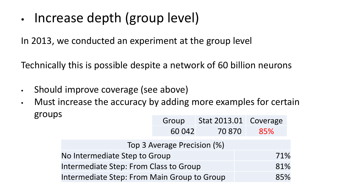• Increase depth (group level)

In 2013, we conducted an experiment at the group level

Technically this is possible despite a network of 60 billion neurons

- Should improve coverage (see above)
- Must increase the accuracy by adding more examples for certain groups

|                                                    | Group  | Stat 2013.01 Coverage |     |  |  |  |  |
|----------------------------------------------------|--------|-----------------------|-----|--|--|--|--|
|                                                    | 60 042 | 70 870                | 85% |  |  |  |  |
| Top 3 Average Precision (%)                        |        |                       |     |  |  |  |  |
| 71%<br>No Intermediate Step to Group               |        |                       |     |  |  |  |  |
| 81%<br>Intermediate Step: From Class to Group      |        |                       |     |  |  |  |  |
| Intermediate Step: From Main Group to Group<br>85% |        |                       |     |  |  |  |  |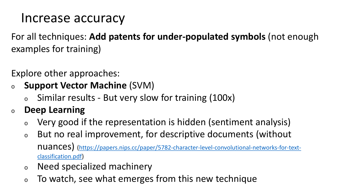### Increase accuracy

For all techniques: **Add patents for under-populated symbols** (not enough examples for training)

Explore other approaches:

- <sup>o</sup> **Support Vector Machine** (SVM)
	- $\circ$  Similar results But very slow for training (100x)
- <sup>o</sup> **Deep Learning**
	- <sup>o</sup> Very good if the representation is hidden (sentiment analysis)
	- <sup>o</sup> But no real improvement, for descriptive documents (without nuances) [\(https://papers.nips.cc/paper/5782-character-level-convolutional-networks-for-text-](https://papers.nips.cc/paper/5782-character-level-convolutional-networks-for-text-classification.pdf)

[classification.pdf](https://papers.nips.cc/paper/5782-character-level-convolutional-networks-for-text-classification.pdf))

- <sup>o</sup> Need specialized machinery
- $\circ$  To watch, see what emerges from this new technique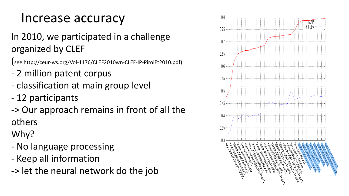### Increase accuracy

### In 2010, we participated in a challenge organized by CLEF

(see http://ceur-ws.org/Vol-1176/CLEF2010wn-CLEF-IP-PiroiEt2010.pdf)

- 2 million patent corpus
- classification at main group level
- 12 participants
- -> Our approach remains in front of all the others

Why?

- No language processing
- Keep all information
- -> let the neural network do the job

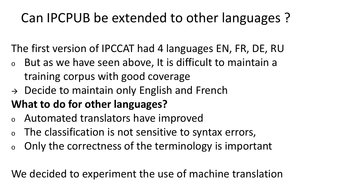### Can IPCPUB be extended to other languages ?

The first version of IPCCAT had 4 languages EN, FR, DE, RU

- <sup>o</sup> But as we have seen above, It is difficult to maintain a training corpus with good coverage
- $\rightarrow$  Decide to maintain only English and French
- **What to do for other languages?**
- <sup>o</sup> Automated translators have improved
- <sup>o</sup> The classification is not sensitive to syntax errors,
- <sup>o</sup> Only the correctness of the terminology is important

We decided to experiment the use of machine translation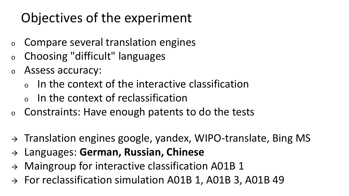# Objectives of the experiment

- <sup>o</sup> Compare several translation engines
- <sup>o</sup> Choosing "difficult" languages
- <sup>o</sup> Assess accuracy:
	- $\circ$  In the context of the interactive classification
	- <sup>o</sup> In the context of reclassification
- $\circ$  Constraints: Have enough patents to do the tests
- $\rightarrow$  Translation engines google, yandex, WIPO-translate, Bing MS
- Languages: **German, Russian, Chinese**
- $\rightarrow$  Maingroup for interactive classification A01B 1
- $\rightarrow$  For reclassification simulation A01B 1, A01B 3, A01B 49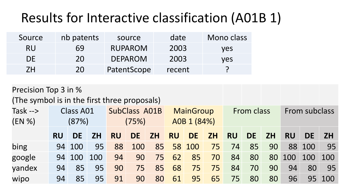## Results for Interactive classification (A01B 1)

| Source    | nb patents | source         | date   | Mono class |
|-----------|------------|----------------|--------|------------|
| <b>RU</b> | 69         | <b>RUPAROM</b> | 2003   | <b>ves</b> |
| DF.       | 20         | <b>DEPAROM</b> | 2003   | <b>ves</b> |
| 7H        | 20         | PatentScope    | recent |            |

| Precision Top 3 in %<br>(The symbol is in the first three proposals) |           |                           |           |                                                           |           |           |                   |           |           |                      |           |           |           |           |           |
|----------------------------------------------------------------------|-----------|---------------------------|-----------|-----------------------------------------------------------|-----------|-----------|-------------------|-----------|-----------|----------------------|-----------|-----------|-----------|-----------|-----------|
| Task $\rightarrow$<br>(EN %)                                         |           | <b>Class A01</b><br>(87%) |           | SubClass A01B<br><b>MainGroup</b><br>A0B 1 (84%)<br>(75%) |           |           | <b>From class</b> |           |           | <b>From subclass</b> |           |           |           |           |           |
|                                                                      | <b>RU</b> | DE.                       | <b>ZH</b> | <b>RU</b>                                                 | <b>DE</b> | <b>ZH</b> | <b>RU</b>         | <b>DE</b> | <b>ZH</b> | <b>RU</b>            | <b>DE</b> | <b>ZH</b> | <b>RU</b> | <b>DE</b> | <b>ZH</b> |
| bing                                                                 |           | 94 100                    | 95        | 88                                                        | 100       | 85        |                   | 58 100    | 75        | 74                   | 85        | 90        |           | 88 100    | 95        |
| google                                                               |           | 94 100                    | 100       | 94                                                        | 90        | 75        | 62                | 85        | 70        | 84                   | 80        | 80        | 100       | 100       | 100       |
| yandex                                                               | 94        | 85                        | 95        | 90                                                        | 75        | 85        | 68                | 75        | 75        | 84                   | 70        | 90        | 94        | 80        | 95        |
| wipo                                                                 | 94        | 85                        | 95        | 91                                                        | 90        | 80        | 61                | 95        | 65        | 75                   | 80        | 80        | 96        | 95        | 100       |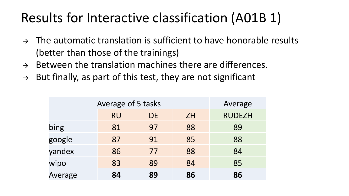# Results for Interactive classification (A01B 1)

- $\rightarrow$  The automatic translation is sufficient to have honorable results (better than those of the trainings)
- $\rightarrow$  Between the translation machines there are differences.
- $\rightarrow$  But finally, as part of this test, they are not significant

| Average of 5 tasks | Average   |     |           |               |
|--------------------|-----------|-----|-----------|---------------|
|                    | <b>RU</b> | DE. | <b>ZH</b> | <b>RUDEZH</b> |
| bing               | 81        | 97  | 88        | 89            |
| google             | 87        | 91  | 85        | 88            |
| yandex             | 86        | 77  | 88        | 84            |
| wipo               | 83        | 89  | 84        | 85            |
| Average            | 84        | 89  | 86        | 86            |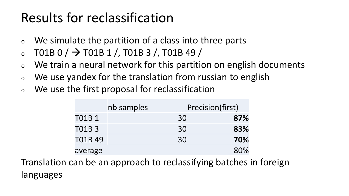## Results for reclassification

- <sup>o</sup> We simulate the partition of a class into three parts
- T01B 0 /  $\rightarrow$  T01B 1 /, T01B 3 /, T01B 49 /
- $\circ$  We train a neural network for this partition on english documents
- <sup>o</sup> We use yandex for the translation from russian to english
- <sup>o</sup> We use the first proposal for reclassification

|               | nb samples | <b>Precision(first)</b> |
|---------------|------------|-------------------------|
| <b>T01B1</b>  | 30         | 87%                     |
| <b>T01B3</b>  | 30         | 83%                     |
| <b>T01B49</b> | 30         | 70%                     |
| average       |            | 80%                     |

Translation can be an approach to reclassifying batches in foreign languages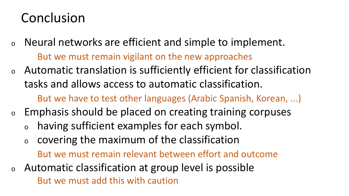### Conclusion

- <sup>o</sup> Neural networks are efficient and simple to implement. But we must remain vigilant on the new approaches <sup>o</sup> Automatic translation is sufficiently efficient for classification tasks and allows access to automatic classification. But we have to test other languages (Arabic Spanish, Korean, ...)
- <sup>o</sup> Emphasis should be placed on creating training corpuses <sup>o</sup> having sufficient examples for each symbol.
	- <sup>o</sup> covering the maximum of the classification

But we must remain relevant between effort and outcome

<sup>o</sup> Automatic classification at group level is possible But we must add this with caution